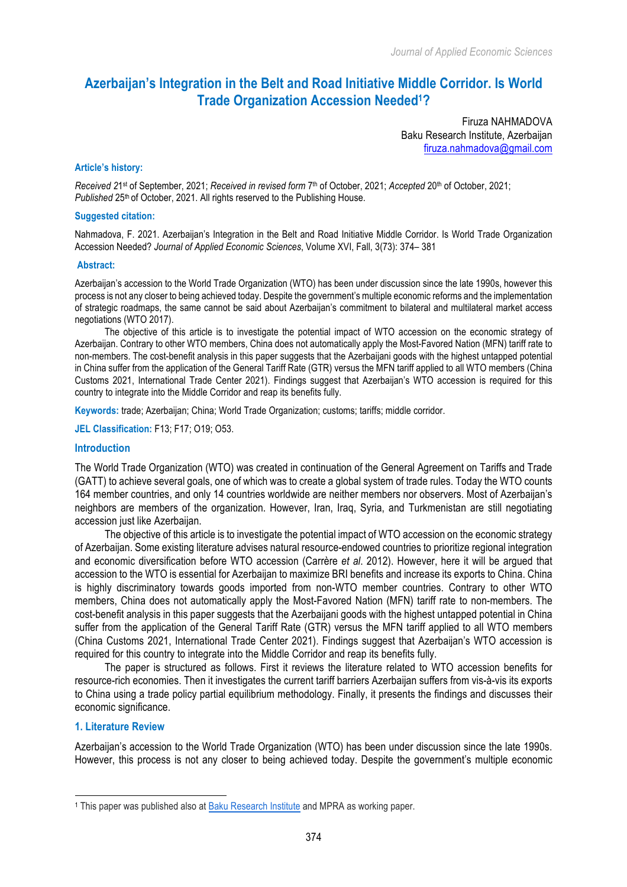# **Azerbaijan's Integration in the Belt and Road Initiative Middle Corridor. Is World Trade Organization Accession Needed1?**

Firuza NAHMADOVA Baku Research Institute, Azerbaijan firuza.nahmadova@gmail.com

#### **Article's history:**

*Received 2*1st of September, 2021; *Received in revised form* 7th of October, 2021; *Accepted* 20th of October, 2021; *Published* 25<sup>th</sup> of October, 2021. All rights reserved to the Publishing House.

#### **Suggested citation:**

Nahmadova, F. 2021. Azerbaijan's Integration in the Belt and Road Initiative Middle Corridor. Is World Trade Organization Accession Needed? *Journal of Applied Economic Sciences*, Volume XVI, Fall, 3(73): 374– 381

#### **Abstract:**

Azerbaijan's accession to the World Trade Organization (WTO) has been under discussion since the late 1990s, however this process is not any closer to being achieved today. Despite the government's multiple economic reforms and the implementation of strategic roadmaps, the same cannot be said about Azerbaijan's commitment to bilateral and multilateral market access negotiations (WTO 2017).

The objective of this article is to investigate the potential impact of WTO accession on the economic strategy of Azerbaijan. Contrary to other WTO members, China does not automatically apply the Most-Favored Nation (MFN) tariff rate to non-members. The cost-benefit analysis in this paper suggests that the Azerbaijani goods with the highest untapped potential in China suffer from the application of the General Tariff Rate (GTR) versus the MFN tariff applied to all WTO members (China Customs 2021, International Trade Center 2021). Findings suggest that Azerbaijan's WTO accession is required for this country to integrate into the Middle Corridor and reap its benefits fully.

**Keywords:** trade; Azerbaijan; China; World Trade Organization; customs; tariffs; middle corridor.

**JEL Classification:** F13; F17; O19; O53.

### **Introduction**

The World Trade Organization (WTO) was created in continuation of the General Agreement on Tariffs and Trade (GATT) to achieve several goals, one of which was to create a global system of trade rules. Today the WTO counts 164 member countries, and only 14 countries worldwide are neither members nor observers. Most of Azerbaijan's neighbors are members of the organization. However, Iran, Iraq, Syria, and Turkmenistan are still negotiating accession just like Azerbaijan.

The objective of this article is to investigate the potential impact of WTO accession on the economic strategy of Azerbaijan. Some existing literature advises natural resource-endowed countries to prioritize regional integration and economic diversification before WTO accession (Carrère *et al*. 2012). However, here it will be argued that accession to the WTO is essential for Azerbaijan to maximize BRI benefits and increase its exports to China. China is highly discriminatory towards goods imported from non-WTO member countries. Contrary to other WTO members, China does not automatically apply the Most-Favored Nation (MFN) tariff rate to non-members. The cost-benefit analysis in this paper suggests that the Azerbaijani goods with the highest untapped potential in China suffer from the application of the General Tariff Rate (GTR) versus the MFN tariff applied to all WTO members (China Customs 2021, International Trade Center 2021). Findings suggest that Azerbaijan's WTO accession is required for this country to integrate into the Middle Corridor and reap its benefits fully.

The paper is structured as follows. First it reviews the literature related to WTO accession benefits for resource-rich economies. Then it investigates the current tariff barriers Azerbaijan suffers from vis-à-vis its exports to China using a trade policy partial equilibrium methodology. Finally, it presents the findings and discusses their economic significance.

### **1. Literature Review**

l

Azerbaijan's accession to the World Trade Organization (WTO) has been under discussion since the late 1990s. However, this process is not any closer to being achieved today. Despite the government's multiple economic

<sup>1</sup> This paper was published also at Baku Research Institute and MPRA as working paper.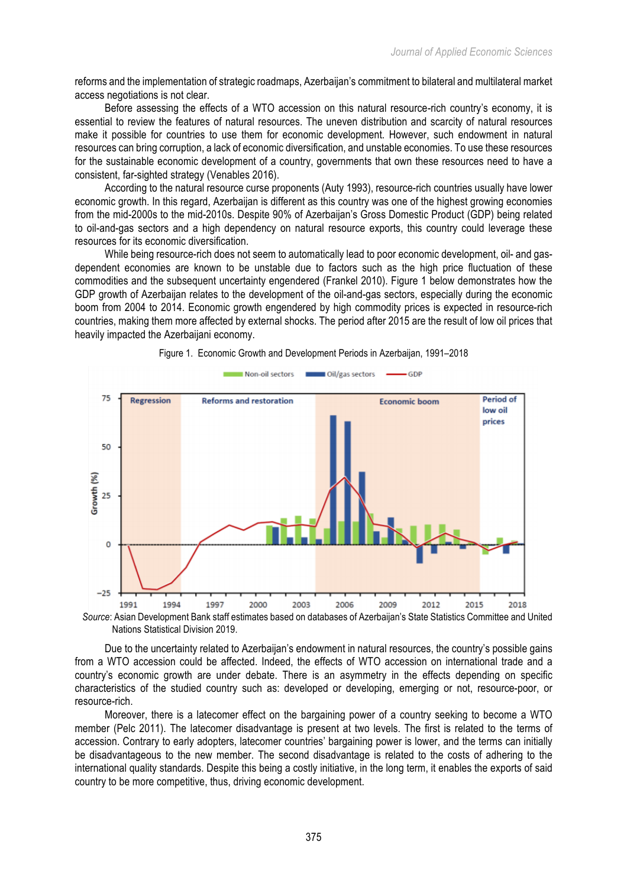reforms and the implementation of strategic roadmaps, Azerbaijan's commitment to bilateral and multilateral market access negotiations is not clear.

Before assessing the effects of a WTO accession on this natural resource-rich country's economy, it is essential to review the features of natural resources. The uneven distribution and scarcity of natural resources make it possible for countries to use them for economic development. However, such endowment in natural resources can bring corruption, a lack of economic diversification, and unstable economies. To use these resources for the sustainable economic development of a country, governments that own these resources need to have a consistent, far-sighted strategy (Venables 2016).

According to the natural resource curse proponents (Auty 1993), resource-rich countries usually have lower economic growth. In this regard, Azerbaijan is different as this country was one of the highest growing economies from the mid-2000s to the mid-2010s. Despite 90% of Azerbaijan's Gross Domestic Product (GDP) being related to oil-and-gas sectors and a high dependency on natural resource exports, this country could leverage these resources for its economic diversification.

While being resource-rich does not seem to automatically lead to poor economic development, oil- and gasdependent economies are known to be unstable due to factors such as the high price fluctuation of these commodities and the subsequent uncertainty engendered (Frankel 2010). Figure 1 below demonstrates how the GDP growth of Azerbaijan relates to the development of the oil-and-gas sectors, especially during the economic boom from 2004 to 2014. Economic growth engendered by high commodity prices is expected in resource-rich countries, making them more affected by external shocks. The period after 2015 are the result of low oil prices that heavily impacted the Azerbaijani economy.



#### Figure 1. Economic Growth and Development Periods in Azerbaijan, 1991–2018

*Source*: Asian Development Bank staff estimates based on databases of Azerbaijan's State Statistics Committee and United Nations Statistical Division 2019.

Due to the uncertainty related to Azerbaijan's endowment in natural resources, the country's possible gains from a WTO accession could be affected. Indeed, the effects of WTO accession on international trade and a country's economic growth are under debate. There is an asymmetry in the effects depending on specific characteristics of the studied country such as: developed or developing, emerging or not, resource-poor, or resource-rich.

Moreover, there is a latecomer effect on the bargaining power of a country seeking to become a WTO member (Pelc 2011). The latecomer disadvantage is present at two levels. The first is related to the terms of accession. Contrary to early adopters, latecomer countries' bargaining power is lower, and the terms can initially be disadvantageous to the new member. The second disadvantage is related to the costs of adhering to the international quality standards. Despite this being a costly initiative, in the long term, it enables the exports of said country to be more competitive, thus, driving economic development.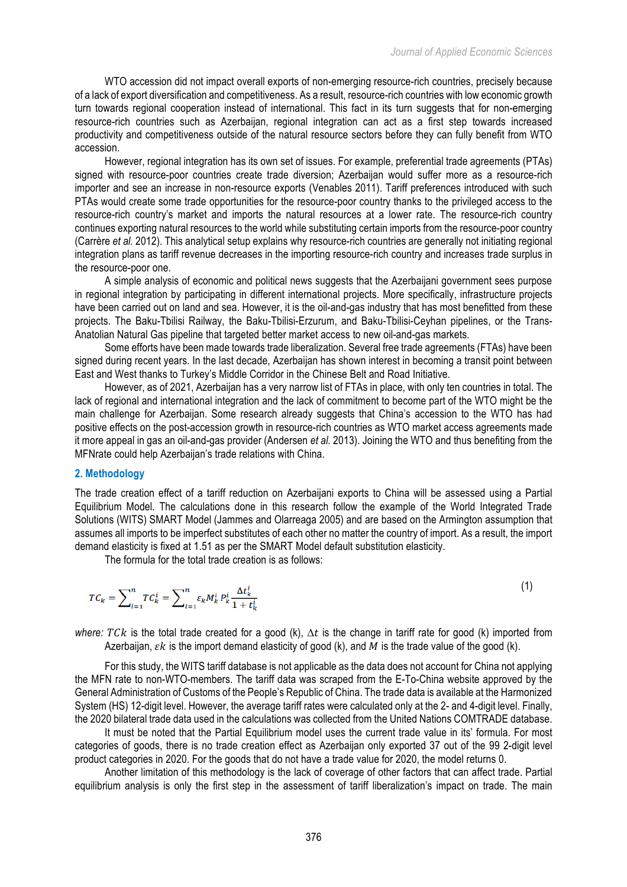WTO accession did not impact overall exports of non-emerging resource-rich countries, precisely because of a lack of export diversification and competitiveness. As a result, resource-rich countries with low economic growth turn towards regional cooperation instead of international. This fact in its turn suggests that for non-emerging resource-rich countries such as Azerbaijan, regional integration can act as a first step towards increased productivity and competitiveness outside of the natural resource sectors before they can fully benefit from WTO accession.

However, regional integration has its own set of issues. For example, preferential trade agreements (PTAs) signed with resource-poor countries create trade diversion; Azerbaijan would suffer more as a resource-rich importer and see an increase in non-resource exports (Venables 2011). Tariff preferences introduced with such PTAs would create some trade opportunities for the resource-poor country thanks to the privileged access to the resource-rich country's market and imports the natural resources at a lower rate. The resource-rich country continues exporting natural resources to the world while substituting certain imports from the resource-poor country (Carrère *et al.* 2012). This analytical setup explains why resource-rich countries are generally not initiating regional integration plans as tariff revenue decreases in the importing resource-rich country and increases trade surplus in the resource-poor one.

A simple analysis of economic and political news suggests that the Azerbaijani government sees purpose in regional integration by participating in different international projects. More specifically, infrastructure projects have been carried out on land and sea. However, it is the oil-and-gas industry that has most benefitted from these projects. The Baku-Tbilisi Railway, the Baku-Tbilisi-Erzurum, and Baku-Tbilisi-Ceyhan pipelines, or the Trans-Anatolian Natural Gas pipeline that targeted better market access to new oil-and-gas markets.

Some efforts have been made towards trade liberalization. Several free trade agreements (FTAs) have been signed during recent years. In the last decade, Azerbaijan has shown interest in becoming a transit point between East and West thanks to Turkey's Middle Corridor in the Chinese Belt and Road Initiative.

However, as of 2021, Azerbaijan has a very narrow list of FTAs in place, with only ten countries in total. The lack of regional and international integration and the lack of commitment to become part of the WTO might be the main challenge for Azerbaijan. Some research already suggests that China's accession to the WTO has had positive effects on the post-accession growth in resource-rich countries as WTO market access agreements made it more appeal in gas an oil-and-gas provider (Andersen *et al.* 2013). Joining the WTO and thus benefiting from the MFNrate could help Azerbaijan's trade relations with China.

### **2. Methodology**

The trade creation effect of a tariff reduction on Azerbaijani exports to China will be assessed using a Partial Equilibrium Model. The calculations done in this research follow the example of the World Integrated Trade Solutions (WITS) SMART Model (Jammes and Olarreaga 2005) and are based on the Armington assumption that assumes all imports to be imperfect substitutes of each other no matter the country of import. As a result, the import demand elasticity is fixed at 1.51 as per the SMART Model default substitution elasticity.

The formula for the total trade creation is as follows:

$$
TC_k = \sum_{i=1}^{n} TC_k^i = \sum_{i=1}^{n} \varepsilon_k M_k^i P_k^i \frac{\Delta t_k^i}{1 + t_k^i}
$$
 (1)

*where:*  $T C k$  is the total trade created for a good (k),  $\Delta t$  is the change in tariff rate for good (k) imported from Azerbaijan,  $\epsilon k$  is the import demand elasticity of good (k), and M is the trade value of the good (k).

For this study, the WITS tariff database is not applicable as the data does not account for China not applying the MFN rate to non-WTO-members. The tariff data was scraped from the E-To-China website approved by the General Administration of Customs of the People's Republic of China. The trade data is available at the Harmonized System (HS) 12-digit level. However, the average tariff rates were calculated only at the 2- and 4-digit level. Finally, the 2020 bilateral trade data used in the calculations was collected from the United Nations COMTRADE database.

It must be noted that the Partial Equilibrium model uses the current trade value in its' formula. For most categories of goods, there is no trade creation effect as Azerbaijan only exported 37 out of the 99 2-digit level product categories in 2020. For the goods that do not have a trade value for 2020, the model returns 0.

Another limitation of this methodology is the lack of coverage of other factors that can affect trade. Partial equilibrium analysis is only the first step in the assessment of tariff liberalization's impact on trade. The main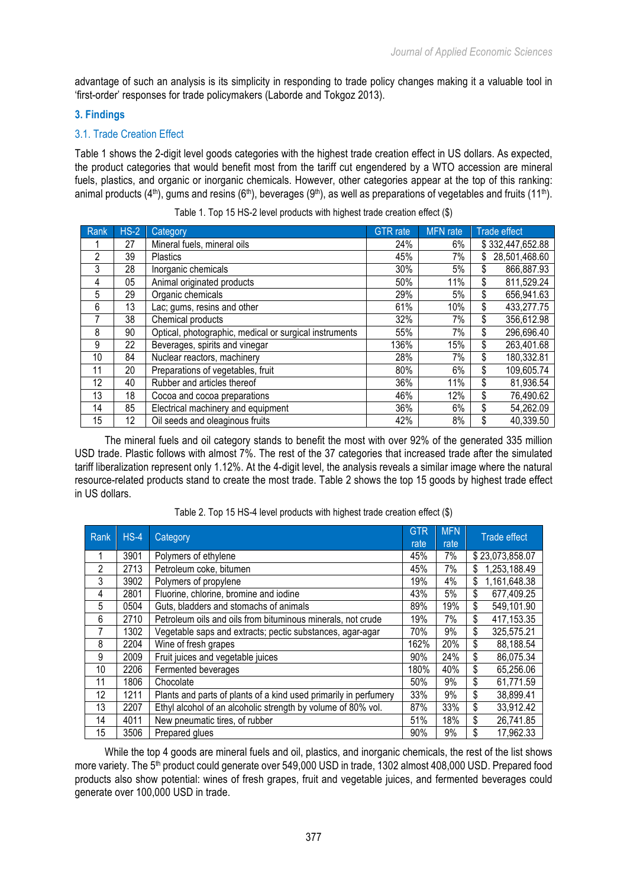advantage of such an analysis is its simplicity in responding to trade policy changes making it a valuable tool in 'first-order' responses for trade policymakers (Laborde and Tokgoz 2013).

## **3. Findings**

# 3.1. Trade Creation Effect

Table 1 shows the 2-digit level goods categories with the highest trade creation effect in US dollars. As expected, the product categories that would benefit most from the tariff cut engendered by a WTO accession are mineral fuels, plastics, and organic or inorganic chemicals. However, other categories appear at the top of this ranking: animal products (4<sup>th</sup>), gums and resins (6<sup>th</sup>), beverages (9<sup>th</sup>), as well as preparations of vegetables and fruits (11<sup>th</sup>).

| Rank | $HS-2$ | <b>Category</b>                                        | <b>GTR</b> rate | <b>MFN</b> rate | <b>Trade effect</b> |  |
|------|--------|--------------------------------------------------------|-----------------|-----------------|---------------------|--|
|      | 27     | Mineral fuels, mineral oils                            | 24%             | 6%              | \$332,447,652.88    |  |
| 2    | 39     | Plastics                                               | 45%             | 7%              | 28,501,468.60       |  |
| 3    | 28     | Inorganic chemicals                                    | 30%             | 5%              | 866,887.93<br>\$    |  |
| 4    | 05     | Animal originated products                             | 50%             | 11%             | \$<br>811,529.24    |  |
| 5    | 29     | Organic chemicals                                      | 29%             | 5%              | \$<br>656,941.63    |  |
| 6    | 13     | Lac; gums, resins and other                            | 61%             | 10%             | \$<br>433,277.75    |  |
| 7    | 38     | Chemical products                                      | 32%             | 7%              | \$<br>356,612.98    |  |
| 8    | 90     | Optical, photographic, medical or surgical instruments | 55%             | 7%              | \$<br>296,696.40    |  |
| 9    | 22     | Beverages, spirits and vinegar                         | 136%            | 15%             | \$<br>263,401.68    |  |
| 10   | 84     | Nuclear reactors, machinery                            | 28%             | 7%              | \$<br>180,332.81    |  |
| 11   | 20     | Preparations of vegetables, fruit                      | 80%             | 6%              | \$<br>109,605.74    |  |
| 12   | 40     | Rubber and articles thereof                            | 36%             | 11%             | \$<br>81,936.54     |  |
| 13   | 18     | Cocoa and cocoa preparations                           | 46%             | 12%             | \$<br>76,490.62     |  |
| 14   | 85     | Electrical machinery and equipment                     | 36%             | 6%              | \$<br>54,262.09     |  |
| 15   | 12     | Oil seeds and oleaginous fruits                        | 42%             | 8%              | \$<br>40,339.50     |  |

Table 1. Top 15 HS-2 level products with highest trade creation effect (\$)

The mineral fuels and oil category stands to benefit the most with over 92% of the generated 335 million USD trade. Plastic follows with almost 7%. The rest of the 37 categories that increased trade after the simulated tariff liberalization represent only 1.12%. At the 4-digit level, the analysis reveals a similar image where the natural resource-related products stand to create the most trade. Table 2 shows the top 15 goods by highest trade effect in US dollars.

| Rank | $HS-4$ | Category                                                         |     | <b>MFN</b> | <b>Trade effect</b> |
|------|--------|------------------------------------------------------------------|-----|------------|---------------------|
|      |        |                                                                  |     | rate       |                     |
| 1    | 3901   | Polymers of ethylene                                             |     | 7%         | \$23,073,858.07     |
| 2    | 2713   | Petroleum coke, bitumen                                          |     | 7%         | 1,253,188.49        |
| 3    | 3902   | Polymers of propylene                                            |     | 4%         | 1,161,648.38<br>\$  |
| 4    | 2801   | Fluorine, chlorine, bromine and iodine                           |     | 5%         | \$<br>677,409.25    |
| 5    | 0504   | Guts, bladders and stomachs of animals                           |     | 19%        | \$<br>549,101.90    |
| 6    | 2710   | Petroleum oils and oils from bituminous minerals, not crude      |     | 7%         | \$<br>417,153.35    |
| 7    | 1302   | Vegetable saps and extracts; pectic substances, agar-agar        | 70% | 9%         | \$<br>325,575.21    |
| 8    | 2204   | Wine of fresh grapes                                             |     | 20%        | \$<br>88,188.54     |
| 9    | 2009   | Fruit juices and vegetable juices                                |     | 24%        | \$<br>86,075.34     |
| 10   | 2206   | Fermented beverages                                              |     | 40%        | \$<br>65,256.06     |
| 11   | 1806   | Chocolate                                                        |     | 9%         | \$<br>61,771.59     |
| 12   | 1211   | Plants and parts of plants of a kind used primarily in perfumery | 33% | 9%         | \$<br>38,899.41     |
| 13   | 2207   | Ethyl alcohol of an alcoholic strength by volume of 80% vol.     |     | 33%        | \$<br>33,912.42     |
| 14   | 4011   | New pneumatic tires, of rubber                                   |     | 18%        | \$<br>26,741.85     |
| 15   | 3506   | Prepared glues                                                   |     | 9%         | \$<br>17,962.33     |

Table 2. Top 15 HS-4 level products with highest trade creation effect (\$)

While the top 4 goods are mineral fuels and oil, plastics, and inorganic chemicals, the rest of the list shows more variety. The 5<sup>th</sup> product could generate over 549,000 USD in trade, 1302 almost 408,000 USD. Prepared food products also show potential: wines of fresh grapes, fruit and vegetable juices, and fermented beverages could generate over 100,000 USD in trade.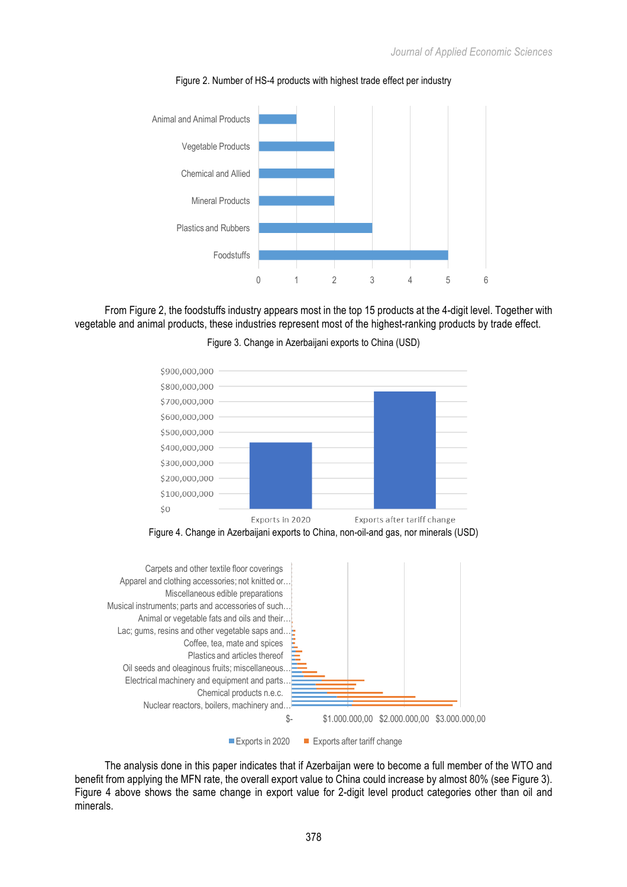

Figure 2. Number of HS-4 products with highest trade effect per industry

From Figure 2, the foodstuffs industry appears most in the top 15 products at the 4-digit level. Together with vegetable and animal products, these industries represent most of the highest-ranking products by trade effect.



Figure 3. Change in Azerbaijani exports to China (USD)





The analysis done in this paper indicates that if Azerbaijan were to become a full member of the WTO and benefit from applying the MFN rate, the overall export value to China could increase by almost 80% (see Figure 3). Figure 4 above shows the same change in export value for 2-digit level product categories other than oil and minerals.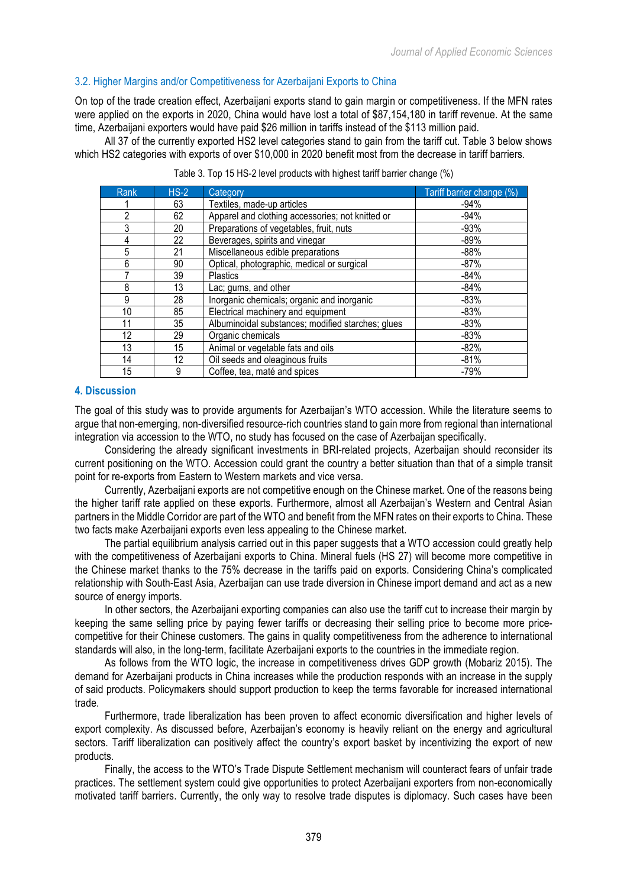## 3.2. Higher Margins and/or Competitiveness for Azerbaijani Exports to China

On top of the trade creation effect, Azerbaijani exports stand to gain margin or competitiveness. If the MFN rates were applied on the exports in 2020, China would have lost a total of \$87,154,180 in tariff revenue. At the same time, Azerbaijani exporters would have paid \$26 million in tariffs instead of the \$113 million paid.

All 37 of the currently exported HS2 level categories stand to gain from the tariff cut. Table 3 below shows which HS2 categories with exports of over \$10,000 in 2020 benefit most from the decrease in tariff barriers.

| Rank | $HS-2$ | Category                                          | Tariff barrier change (%) |
|------|--------|---------------------------------------------------|---------------------------|
|      | 63     | Textiles, made-up articles                        | $-94%$                    |
| 2    | 62     | Apparel and clothing accessories; not knitted or  | $-94%$                    |
| 3    | 20     | Preparations of vegetables, fruit, nuts           | $-93%$                    |
| 4    | 22     | Beverages, spirits and vinegar                    | $-89%$                    |
| 5    | 21     | Miscellaneous edible preparations                 | $-88%$                    |
| 6    | 90     | Optical, photographic, medical or surgical        | $-87%$                    |
|      | 39     | <b>Plastics</b>                                   | $-84%$                    |
| 8    | 13     | Lac; gums, and other                              | $-84%$                    |
| 9    | 28     | Inorganic chemicals; organic and inorganic        | $-83%$                    |
| 10   | 85     | Electrical machinery and equipment                | $-83%$                    |
| 11   | 35     | Albuminoidal substances; modified starches; glues | $-83%$                    |
| 12   | 29     | Organic chemicals                                 | $-83%$                    |
| 13   | 15     | Animal or vegetable fats and oils                 | $-82%$                    |
| 14   | 12     | Oil seeds and oleaginous fruits                   | $-81%$                    |
| 15   | 9      | Coffee, tea, maté and spices                      | $-79%$                    |

Table 3. Top 15 HS-2 level products with highest tariff barrier change (%)

### **4. Discussion**

The goal of this study was to provide arguments for Azerbaijan's WTO accession. While the literature seems to argue that non-emerging, non-diversified resource-rich countries stand to gain more from regional than international integration via accession to the WTO, no study has focused on the case of Azerbaijan specifically.

Considering the already significant investments in BRI-related projects, Azerbaijan should reconsider its current positioning on the WTO. Accession could grant the country a better situation than that of a simple transit point for re-exports from Eastern to Western markets and vice versa.

Currently, Azerbaijani exports are not competitive enough on the Chinese market. One of the reasons being the higher tariff rate applied on these exports. Furthermore, almost all Azerbaijan's Western and Central Asian partners in the Middle Corridor are part of the WTO and benefit from the MFN rates on their exports to China. These two facts make Azerbaijani exports even less appealing to the Chinese market.

The partial equilibrium analysis carried out in this paper suggests that a WTO accession could greatly help with the competitiveness of Azerbaijani exports to China. Mineral fuels (HS 27) will become more competitive in the Chinese market thanks to the 75% decrease in the tariffs paid on exports. Considering China's complicated relationship with South-East Asia, Azerbaijan can use trade diversion in Chinese import demand and act as a new source of energy imports.

In other sectors, the Azerbaijani exporting companies can also use the tariff cut to increase their margin by keeping the same selling price by paying fewer tariffs or decreasing their selling price to become more pricecompetitive for their Chinese customers. The gains in quality competitiveness from the adherence to international standards will also, in the long-term, facilitate Azerbaijani exports to the countries in the immediate region.

As follows from the WTO logic, the increase in competitiveness drives GDP growth (Mobariz 2015). The demand for Azerbaijani products in China increases while the production responds with an increase in the supply of said products. Policymakers should support production to keep the terms favorable for increased international trade.

Furthermore, trade liberalization has been proven to affect economic diversification and higher levels of export complexity. As discussed before, Azerbaijan's economy is heavily reliant on the energy and agricultural sectors. Tariff liberalization can positively affect the country's export basket by incentivizing the export of new products.

Finally, the access to the WTO's Trade Dispute Settlement mechanism will counteract fears of unfair trade practices. The settlement system could give opportunities to protect Azerbaijani exporters from non-economically motivated tariff barriers. Currently, the only way to resolve trade disputes is diplomacy. Such cases have been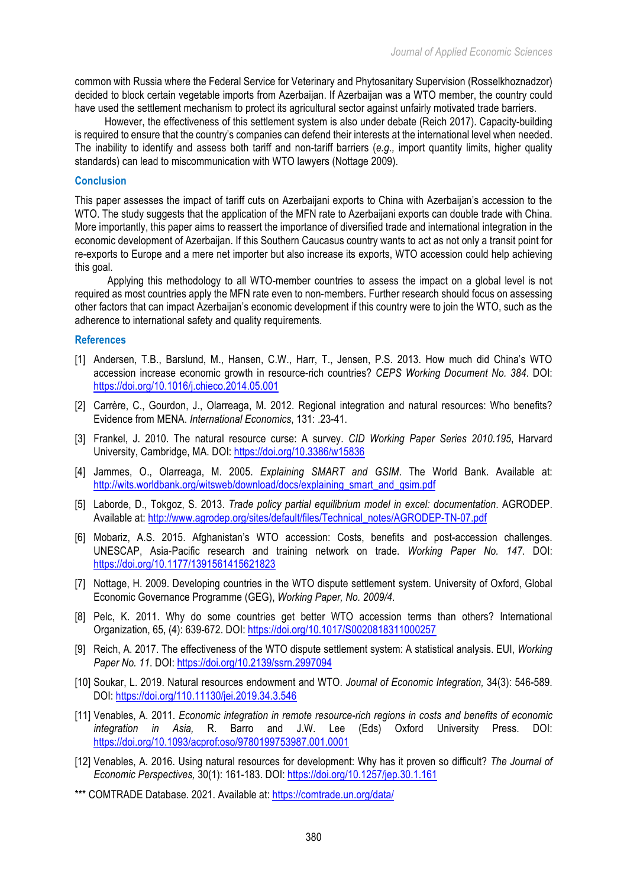common with Russia where the Federal Service for Veterinary and Phytosanitary Supervision (Rosselkhoznadzor) decided to block certain vegetable imports from Azerbaijan. If Azerbaijan was a WTO member, the country could have used the settlement mechanism to protect its agricultural sector against unfairly motivated trade barriers.

However, the effectiveness of this settlement system is also under debate (Reich 2017). Capacity-building is required to ensure that the country's companies can defend their interests at the international level when needed. The inability to identify and assess both tariff and non-tariff barriers (*e.g.,* import quantity limits, higher quality standards) can lead to miscommunication with WTO lawyers (Nottage 2009).

### **Conclusion**

This paper assesses the impact of tariff cuts on Azerbaijani exports to China with Azerbaijan's accession to the WTO. The study suggests that the application of the MFN rate to Azerbaijani exports can double trade with China. More importantly, this paper aims to reassert the importance of diversified trade and international integration in the economic development of Azerbaijan. If this Southern Caucasus country wants to act as not only a transit point for re-exports to Europe and a mere net importer but also increase its exports, WTO accession could help achieving this goal.

Applying this methodology to all WTO-member countries to assess the impact on a global level is not required as most countries apply the MFN rate even to non-members. Further research should focus on assessing other factors that can impact Azerbaijan's economic development if this country were to join the WTO, such as the adherence to international safety and quality requirements.

### **References**

- [1] Andersen, T.B., Barslund, M., Hansen, C.W., Harr, T., Jensen, P.S. 2013. How much did China's WTO accession increase economic growth in resource-rich countries? *CEPS Working Document No. 384*. DOI: https://doi.org/10.1016/j.chieco.2014.05.001
- [2] Carrère, C., Gourdon, J., Olarreaga, M. 2012. Regional integration and natural resources: Who benefits? Evidence from MENA. *International Economics*, 131: .23-41.
- [3] Frankel, J. 2010. The natural resource curse: A survey. *CID Working Paper Series 2010.195*, Harvard University, Cambridge, MA. DOI: https://doi.org/10.3386/w15836
- [4] Jammes, O., Olarreaga, M. 2005. *Explaining SMART and GSIM*. The World Bank. Available at: http://wits.worldbank.org/witsweb/download/docs/explaining\_smart\_and\_gsim.pdf
- [5] Laborde, D., Tokgoz, S. 2013. *Trade policy partial equilibrium model in excel: documentation*. AGRODEP. Available at: http://www.agrodep.org/sites/default/files/Technical\_notes/AGRODEP-TN-07.pdf
- [6] Mobariz, A.S. 2015. Afghanistan's WTO accession: Costs, benefits and post-accession challenges. UNESCAP, Asia-Pacific research and training network on trade. *Working Paper No. 147*. DOI: https://doi.org/10.1177/1391561415621823
- [7] Nottage, H. 2009. Developing countries in the WTO dispute settlement system. University of Oxford, Global Economic Governance Programme (GEG), *Working Paper, No. 2009/4*.
- [8] Pelc, K. 2011. Why do some countries get better WTO accession terms than others? International Organization, 65, (4): 639-672. DOI: https://doi.org/10.1017/S0020818311000257
- [9] Reich, A. 2017. The effectiveness of the WTO dispute settlement system: A statistical analysis. EUI, *Working Paper No. 11*. DOI: https://doi.org/10.2139/ssrn.2997094
- [10] Soukar, L. 2019. Natural resources endowment and WTO. *Journal of Economic Integration,* 34(3): 546-589. DOI: https://doi.org/110.11130/jei.2019.34.3.546
- [11] Venables, A. 2011. *Economic integration in remote resource-rich regions in costs and benefits of economic integration in Asia,* R. Barro and J.W. Lee (Eds) Oxford University Press. DOI: https://doi.org/10.1093/acprof:oso/9780199753987.001.0001
- [12] Venables, A. 2016. Using natural resources for development: Why has it proven so difficult? *The Journal of Economic Perspectives,* 30(1): 161-183. DOI: https://doi.org/10.1257/jep.30.1.161
- \*\*\* COMTRADE Database. 2021. Available at: https://comtrade.un.org/data/